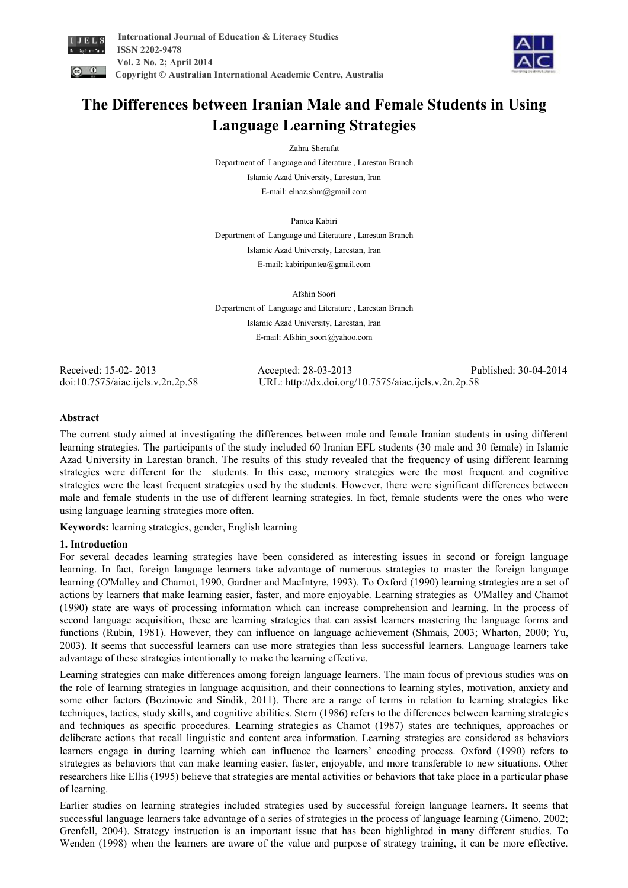



# **The Differences between Iranian Male and Female Students in Using Language Learning Strategies**

Zahra Sherafat

Department of Language and Literature , Larestan Branch Islamic Azad University, Larestan, Iran E-mail: elnaz.shm@gmail.com

Pantea Kabiri Department of Language and Literature , Larestan Branch Islamic Azad University, Larestan, Iran E-mail: kabiripantea@gmail.com

Afshin Soori

Department of Language and Literature , Larestan Branch Islamic Azad University, Larestan, Iran E-mail: Afshin\_soori@yahoo.com

Received: 15-02- 2013 Accepted: 28-03-2013 Published: 30-04-2014 doi:10.7575/aiac.ijels.v.2n.2p.58 URL: http://dx.doi.org/10.7575/aiac.ijels.v.2n.2p.58

# **Abstract**

The current study aimed at investigating the differences between male and female Iranian students in using different learning strategies. The participants of the study included 60 Iranian EFL students (30 male and 30 female) in Islamic Azad University in Larestan branch. The results of this study revealed that the frequency of using different learning strategies were different for the students. In this case, memory strategies were the most frequent and cognitive strategies were the least frequent strategies used by the students. However, there were significant differences between male and female students in the use of different learning strategies. In fact, female students were the ones who were using language learning strategies more often.

**Keywords:** learning strategies, gender, English learning

# **1. Introduction**

For several decades learning strategies have been considered as interesting issues in second or foreign language learning. In fact, foreign language learners take advantage of numerous strategies to master the foreign language learning (O'Malley and Chamot, 1990, Gardner and MacIntyre, 1993). To Oxford (1990) learning strategies are a set of actions by learners that make learning easier, faster, and more enjoyable. Learning strategies as O'Malley and Chamot (1990) state are ways of processing information which can increase comprehension and learning. In the process of second language acquisition, these are learning strategies that can assist learners mastering the language forms and functions (Rubin, 1981). However, they can influence on language achievement (Shmais, 2003; Wharton, 2000; Yu, 2003). It seems that successful learners can use more strategies than less successful learners. Language learners take advantage of these strategies intentionally to make the learning effective.

Learning strategies can make differences among foreign language learners. The main focus of previous studies was on the role of learning strategies in language acquisition, and their connections to learning styles, motivation, anxiety and some other factors (Bozinovic and Sindik, 2011). There are a range of terms in relation to learning strategies like techniques, tactics, study skills, and cognitive abilities. Stern (1986) refers to the differences between learning strategies and techniques as specific procedures. Learning strategies as Chamot (1987) states are techniques, approaches or deliberate actions that recall linguistic and content area information. Learning strategies are considered as behaviors learners engage in during learning which can influence the learners' encoding process. Oxford (1990) refers to strategies as behaviors that can make learning easier, faster, enjoyable, and more transferable to new situations. Other researchers like Ellis (1995) believe that strategies are mental activities or behaviors that take place in a particular phase of learning.

Earlier studies on learning strategies included strategies used by successful foreign language learners. It seems that successful language learners take advantage of a series of strategies in the process of language learning (Gimeno, 2002; Grenfell, 2004). Strategy instruction is an important issue that has been highlighted in many different studies. To Wenden (1998) when the learners are aware of the value and purpose of strategy training, it can be more effective.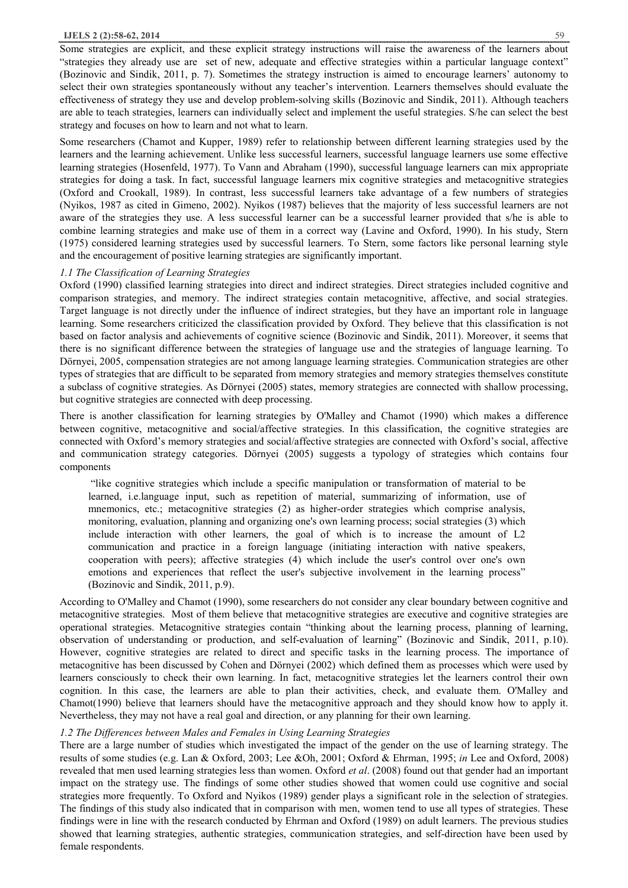#### **IJELS 2 (2):58-62, 2014** 59

Some strategies are explicit, and these explicit strategy instructions will raise the awareness of the learners about "strategies they already use are set of new, adequate and effective strategies within a particular language context" (Bozinovic and Sindik, 2011, p. 7). Sometimes the strategy instruction is aimed to encourage learners' autonomy to select their own strategies spontaneously without any teacher's intervention. Learners themselves should evaluate the effectiveness of strategy they use and develop problem-solving skills (Bozinovic and Sindik, 2011). Although teachers are able to teach strategies, learners can individually select and implement the useful strategies. S/he can select the best strategy and focuses on how to learn and not what to learn.

Some researchers (Chamot and Kupper, 1989) refer to relationship between different learning strategies used by the learners and the learning achievement. Unlike less successful learners, successful language learners use some effective learning strategies (Hosenfeld, 1977). To Vann and Abraham (1990), successful language learners can mix appropriate strategies for doing a task. In fact, successful language learners mix cognitive strategies and metacognitive strategies (Oxford and Crookall, 1989). In contrast, less successful learners take advantage of a few numbers of strategies (Nyikos, 1987 as cited in Gimeno, 2002). Nyikos (1987) believes that the majority of less successful learners are not aware of the strategies they use. A less successful learner can be a successful learner provided that s/he is able to combine learning strategies and make use of them in a correct way (Lavine and Oxford, 1990). In his study, Stern (1975) considered learning strategies used by successful learners. To Stern, some factors like personal learning style and the encouragement of positive learning strategies are significantly important.

#### *1.1 The Classification of Learning Strategies*

Oxford (1990) classified learning strategies into direct and indirect strategies. Direct strategies included cognitive and comparison strategies, and memory. The indirect strategies contain metacognitive, affective, and social strategies. Target language is not directly under the influence of indirect strategies, but they have an important role in language learning. Some researchers criticized the classification provided by Oxford. They believe that this classification is not based on factor analysis and achievements of cognitive science (Bozinovic and Sindik, 2011). Moreover, it seems that there is no significant difference between the strategies of language use and the strategies of language learning. To Dörnyei, 2005, compensation strategies are not among language learning strategies. Communication strategies are other types of strategies that are difficult to be separated from memory strategies and memory strategies themselves constitute a subclass of cognitive strategies. As Dörnyei (2005) states, memory strategies are connected with shallow processing, but cognitive strategies are connected with deep processing.

There is another classification for learning strategies by O'Malley and Chamot (1990) which makes a difference between cognitive, metacognitive and social/affective strategies. In this classification, the cognitive strategies are connected with Oxford's memory strategies and social/affective strategies are connected with Oxford's social, affective and communication strategy categories. Dörnyei (2005) suggests a typology of strategies which contains four components

"like cognitive strategies which include a specific manipulation or transformation of material to be learned, i.e.language input, such as repetition of material, summarizing of information, use of mnemonics, etc.; metacognitive strategies (2) as higher-order strategies which comprise analysis, monitoring, evaluation, planning and organizing one's own learning process; social strategies (3) which include interaction with other learners, the goal of which is to increase the amount of L2 communication and practice in a foreign language (initiating interaction with native speakers, cooperation with peers); affective strategies (4) which include the user's control over one's own emotions and experiences that reflect the user's subjective involvement in the learning process" (Bozinovic and Sindik, 2011, p.9).

According to O'Malley and Chamot (1990), some researchers do not consider any clear boundary between cognitive and metacognitive strategies. Most of them believe that metacognitive strategies are executive and cognitive strategies are operational strategies. Metacognitive strategies contain "thinking about the learning process, planning of learning, observation of understanding or production, and self-evaluation of learning" (Bozinovic and Sindik, 2011, p.10). However, cognitive strategies are related to direct and specific tasks in the learning process. The importance of metacognitive has been discussed by Cohen and Dörnyei (2002) which defined them as processes which were used by learners consciously to check their own learning. In fact, metacognitive strategies let the learners control their own cognition. In this case, the learners are able to plan their activities, check, and evaluate them. O'Malley and Chamot(1990) believe that learners should have the metacognitive approach and they should know how to apply it. Nevertheless, they may not have a real goal and direction, or any planning for their own learning.

#### *1.2 The Differences between Males and Females in Using Learning Strategies*

There are a large number of studies which investigated the impact of the gender on the use of learning strategy. The results of some studies (e.g. Lan & Oxford, 2003; Lee &Oh, 2001; Oxford & Ehrman, 1995; *in* Lee and Oxford, 2008) revealed that men used learning strategies less than women. Oxford *et al*. (2008) found out that gender had an important impact on the strategy use. The findings of some other studies showed that women could use cognitive and social strategies more frequently. To Oxford and Nyikos (1989) gender plays a significant role in the selection of strategies. The findings of this study also indicated that in comparison with men, women tend to use all types of strategies. These findings were in line with the research conducted by Ehrman and Oxford (1989) on adult learners. The previous studies showed that learning strategies, authentic strategies, communication strategies, and self-direction have been used by female respondents.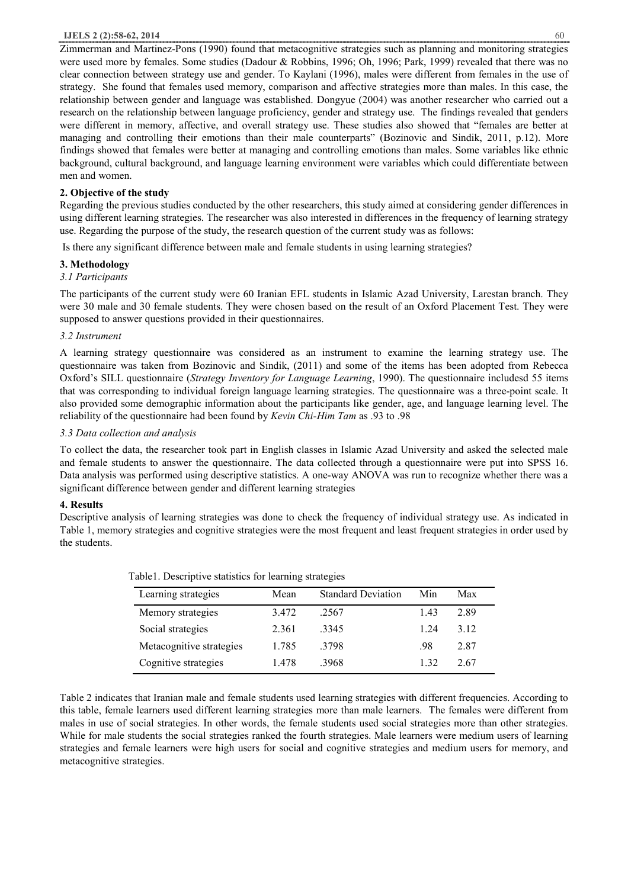#### **IJELS 2 (2):58-62, 2014** 60

Zimmerman and Martinez-Pons (1990) found that metacognitive strategies such as planning and monitoring strategies were used more by females. Some studies (Dadour & Robbins, 1996; Oh, 1996; Park, 1999) revealed that there was no clear connection between strategy use and gender. To Kaylani (1996), males were different from females in the use of strategy. She found that females used memory, comparison and affective strategies more than males. In this case, the relationship between gender and language was established. Dongyue (2004) was another researcher who carried out a research on the relationship between language proficiency, gender and strategy use. The findings revealed that genders were different in memory, affective, and overall strategy use. These studies also showed that "females are better at managing and controlling their emotions than their male counterparts" (Bozinovic and Sindik, 2011, p.12). More findings showed that females were better at managing and controlling emotions than males. Some variables like ethnic background, cultural background, and language learning environment were variables which could differentiate between men and women.

## **2. Objective of the study**

Regarding the previous studies conducted by the other researchers, this study aimed at considering gender differences in using different learning strategies. The researcher was also interested in differences in the frequency of learning strategy use. Regarding the purpose of the study, the research question of the current study was as follows:

Is there any significant difference between male and female students in using learning strategies?

## **3. Methodology**

## *3.1 Participants*

The participants of the current study were 60 Iranian EFL students in Islamic Azad University, Larestan branch. They were 30 male and 30 female students. They were chosen based on the result of an Oxford Placement Test. They were supposed to answer questions provided in their questionnaires.

## *3.2 Instrument*

A learning strategy questionnaire was considered as an instrument to examine the learning strategy use. The questionnaire was taken from Bozinovic and Sindik, (2011) and some of the items has been adopted from Rebecca Oxford's SILL questionnaire (*Strategy Inventory for Language Learning*, 1990). The questionnaire includesd 55 items that was corresponding to individual foreign language learning strategies. The questionnaire was a three-point scale. It also provided some demographic information about the participants like gender, age, and language learning level. The reliability of the questionnaire had been found by *Kevin Chi-Him Tam* as .93 to .98

## *3.3 Data collection and analysis*

To collect the data, the researcher took part in English classes in Islamic Azad University and asked the selected male and female students to answer the questionnaire. The data collected through a questionnaire were put into SPSS 16. Data analysis was performed using descriptive statistics. A one-way ANOVA was run to recognize whether there was a significant difference between gender and different learning strategies

#### **4. Results**

Descriptive analysis of learning strategies was done to check the frequency of individual strategy use. As indicated in Table 1, memory strategies and cognitive strategies were the most frequent and least frequent strategies in order used by the students.

| Learning strategies      | Mean  | <b>Standard Deviation</b> | Min  | Max   |  |
|--------------------------|-------|---------------------------|------|-------|--|
| Memory strategies        | 3472  | .2567                     | 1.43 | 2.89  |  |
| Social strategies        | 2.361 | 3345                      | 1 24 | 3 1 2 |  |
| Metacognitive strategies | 1.785 | 3798                      | .98  | 2.87  |  |
| Cognitive strategies     | 1.478 | .3968                     | 1.32 | 2.67  |  |

|  | Table 1. Descriptive statistics for learning strategies |
|--|---------------------------------------------------------|
|  |                                                         |

Table 2 indicates that Iranian male and female students used learning strategies with different frequencies. According to this table, female learners used different learning strategies more than male learners. The females were different from males in use of social strategies. In other words, the female students used social strategies more than other strategies. While for male students the social strategies ranked the fourth strategies. Male learners were medium users of learning strategies and female learners were high users for social and cognitive strategies and medium users for memory, and metacognitive strategies.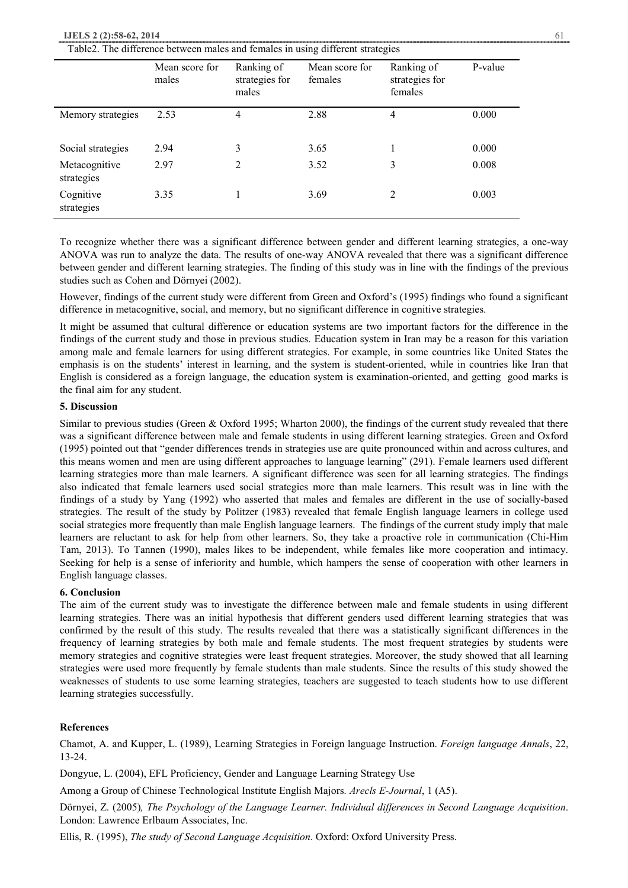#### **IJELS 2 (2):58-62, 2014** 61

| Table2. The difference between males and females in using different strategies |  |  |
|--------------------------------------------------------------------------------|--|--|
|                                                                                |  |  |

|                             | Mean score for<br>males | Ranking of<br>strategies for<br>males | Mean score for<br>females | Ranking of<br>strategies for<br>females | P-value |
|-----------------------------|-------------------------|---------------------------------------|---------------------------|-----------------------------------------|---------|
| Memory strategies           | 2.53                    | 4                                     | 2.88                      | 4                                       | 0.000   |
| Social strategies           | 2.94                    | 3                                     | 3.65                      | 1                                       | 0.000   |
| Metacognitive<br>strategies | 2.97                    | $\mathfrak{D}$                        | 3.52                      | 3                                       | 0.008   |
| Cognitive<br>strategies     | 3.35                    |                                       | 3.69                      | 2                                       | 0.003   |

To recognize whether there was a significant difference between gender and different learning strategies, a one-way ANOVA was run to analyze the data. The results of one-way ANOVA revealed that there was a significant difference between gender and different learning strategies. The finding of this study was in line with the findings of the previous studies such as Cohen and Dörnyei (2002).

However, findings of the current study were different from Green and Oxford's (1995) findings who found a significant difference in metacognitive, social, and memory, but no significant difference in cognitive strategies.

It might be assumed that cultural difference or education systems are two important factors for the difference in the findings of the current study and those in previous studies. Education system in Iran may be a reason for this variation among male and female learners for using different strategies. For example, in some countries like United States the emphasis is on the students' interest in learning, and the system is student-oriented, while in countries like Iran that English is considered as a foreign language, the education system is examination-oriented, and getting good marks is the final aim for any student.

## **5. Discussion**

Similar to previous studies (Green & Oxford 1995; Wharton 2000), the findings of the current study revealed that there was a significant difference between male and female students in using different learning strategies. Green and Oxford (1995) pointed out that "gender differences trends in strategies use are quite pronounced within and across cultures, and this means women and men are using different approaches to language learning" (291). Female learners used different learning strategies more than male learners. A significant difference was seen for all learning strategies. The findings also indicated that female learners used social strategies more than male learners. This result was in line with the findings of a study by Yang (1992) who asserted that males and females are different in the use of socially-based strategies. The result of the study by Politzer (1983) revealed that female English language learners in college used social strategies more frequently than male English language learners. The findings of the current study imply that male learners are reluctant to ask for help from other learners. So, they take a proactive role in communication (Chi-Him Tam, 2013). To Tannen (1990), males likes to be independent, while females like more cooperation and intimacy. Seeking for help is a sense of inferiority and humble, which hampers the sense of cooperation with other learners in English language classes.

## **6. Conclusion**

The aim of the current study was to investigate the difference between male and female students in using different learning strategies. There was an initial hypothesis that different genders used different learning strategies that was confirmed by the result of this study. The results revealed that there was a statistically significant differences in the frequency of learning strategies by both male and female students. The most frequent strategies by students were memory strategies and cognitive strategies were least frequent strategies. Moreover, the study showed that all learning strategies were used more frequently by female students than male students. Since the results of this study showed the weaknesses of students to use some learning strategies, teachers are suggested to teach students how to use different learning strategies successfully.

#### **References**

Chamot, A. and Kupper, L. (1989), Learning Strategies in Foreign language Instruction. *Foreign language Annals*, 22, 13-24.

Dongyue, L. (2004), EFL Proficiency, Gender and Language Learning Strategy Use

Among a Group of Chinese Technological Institute English Majors*. Arecls E-Journal*, 1 (A5).

Dörnyei, Z. (2005)*, The Psychology of the Language Learner. Individual differences in Second Language Acquisition*. London: Lawrence Erlbaum Associates, Inc.

Ellis, R. (1995), *The study of Second Language Acquisition.* Oxford: Oxford University Press.